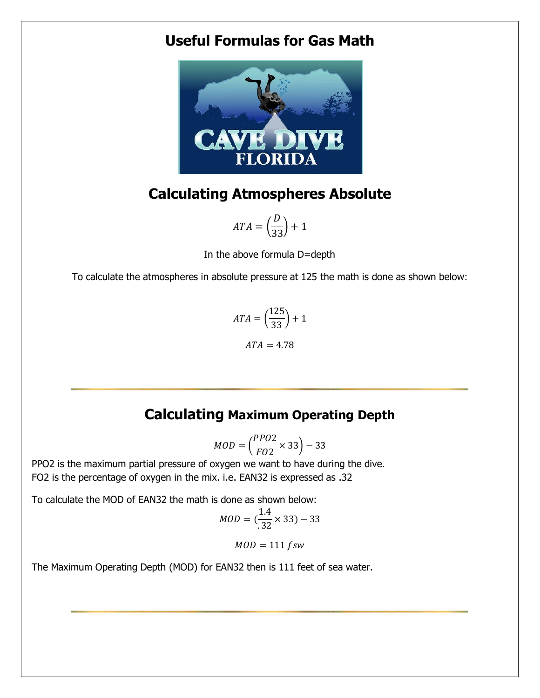## **Useful Formulas for Gas Math**



# **Calculating Atmospheres Absolute**

$$
ATA = \left(\frac{D}{33}\right) + 1
$$

In the above formula D=depth

To calculate the atmospheres in absolute pressure at 125 the math is done as shown below:

$$
ATA = \left(\frac{125}{33}\right) + 1
$$

$$
ATA = 4.78
$$

## **Calculating Maximum Operating Depth**

$$
MOD = \left(\frac{PPO2}{FO2} \times 33\right) - 33
$$

PPO2 is the maximum partial pressure of oxygen we want to have during the dive. FO2 is the percentage of oxygen in the mix. i.e. EAN32 is expressed as .32

To calculate the MOD of EAN32 the math is done as shown below:

$$
MOD = (\frac{1.4}{.32} \times 33) - 33
$$

 $MOD = 111$   $fsw$ 

The Maximum Operating Depth (MOD) for EAN32 then is 111 feet of sea water.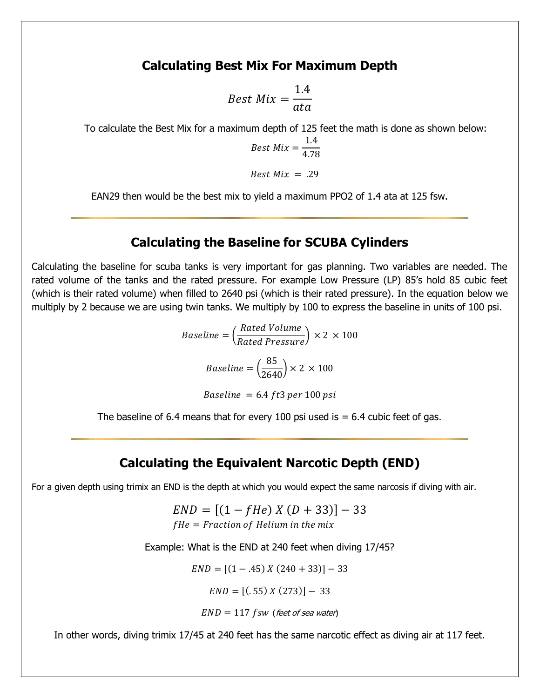### **Calculating Best Mix For Maximum Depth**

$$
Best\ Mix = \frac{1.4}{ata}
$$

To calculate the Best Mix for a maximum depth of 125 feet the math is done as shown below:

$$
Best\ Mix = \frac{1.4}{4.78}
$$

Best  $Mix = .29$ 

EAN29 then would be the best mix to yield a maximum PPO2 of 1.4 ata at 125 fsw.

#### **Calculating the Baseline for SCUBA Cylinders**

Calculating the baseline for scuba tanks is very important for gas planning. Two variables are needed. The rated volume of the tanks and the rated pressure. For example Low Pressure (LP) 85's hold 85 cubic feet (which is their rated volume) when filled to 2640 psi (which is their rated pressure). In the equation below we multiply by 2 because we are using twin tanks. We multiply by 100 to express the baseline in units of 100 psi.

$$
Baseline = \left(\frac{Rated Volume}{Rated Pressure}\right) \times 2 \times 100
$$
\n
$$
Baseline = \left(\frac{85}{2640}\right) \times 2 \times 100
$$

Baseline =  $6.4$  ft3 per 100 psi

The baseline of 6.4 means that for every 100 psi used is  $= 6.4$  cubic feet of gas.

## **Calculating the Equivalent Narcotic Depth (END)**

For a given depth using trimix an END is the depth at which you would expect the same narcosis if diving with air.

 $END = [(1 - fHe) X (D + 33)] - 33$  $fHe = Fraction of Helium in the mix$ 

Example: What is the END at 240 feet when diving 17/45?

 $END = [(1 - .45) X (240 + 33)] - 33$ 

 $END = [(.55) X (273)] - 33$ 

$$
END = 117 \, \text{fsw} \, \text{ (feet of sea water)}
$$

In other words, diving trimix 17/45 at 240 feet has the same narcotic effect as diving air at 117 feet.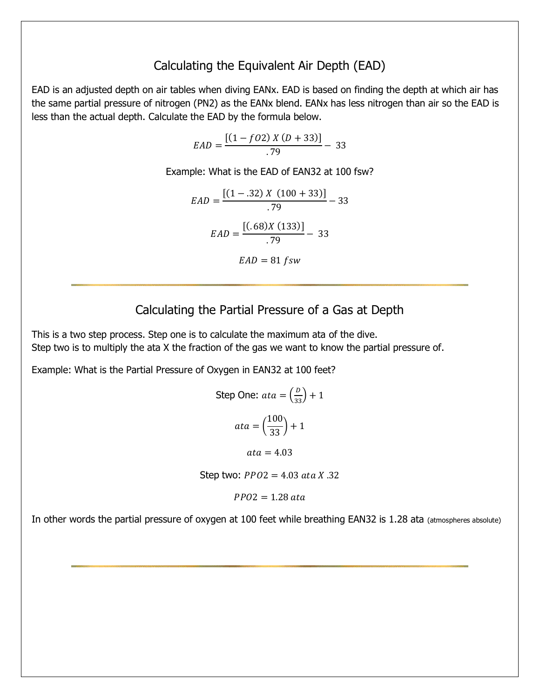## Calculating the Equivalent Air Depth (EAD)

EAD is an adjusted depth on air tables when diving EANx. EAD is based on finding the depth at which air has the same partial pressure of nitrogen (PN2) as the EANx blend. EANx has less nitrogen than air so the EAD is less than the actual depth. Calculate the EAD by the formula below.

$$
EAD = \frac{[(1 - fO2) X (D + 33)]}{.79} - 33
$$

Example: What is the EAD of EAN32 at 100 fsw?

$$
EAD = \frac{[(1 - .32) X (100 + 33)]}{.79} - 33
$$

$$
EAD = \frac{[(.68)X (133)]}{.79} - 33
$$

$$
EAD = 81 \text{ fsw}
$$

## Calculating the Partial Pressure of a Gas at Depth

This is a two step process. Step one is to calculate the maximum ata of the dive. Step two is to multiply the ata X the fraction of the gas we want to know the partial pressure of.

Example: What is the Partial Pressure of Oxygen in EAN32 at 100 feet?

Step One: 
$$
ata = \left(\frac{D}{33}\right) + 1
$$
  

$$
ata = \left(\frac{100}{33}\right) + 1
$$

$$
ata = 4.03
$$

Step two:  $PPO2 = 4.03$  ata X .32

 $PPO2 = 1.28$  ata

In other words the partial pressure of oxygen at 100 feet while breathing EAN32 is 1.28 ata (atmospheres absolute)